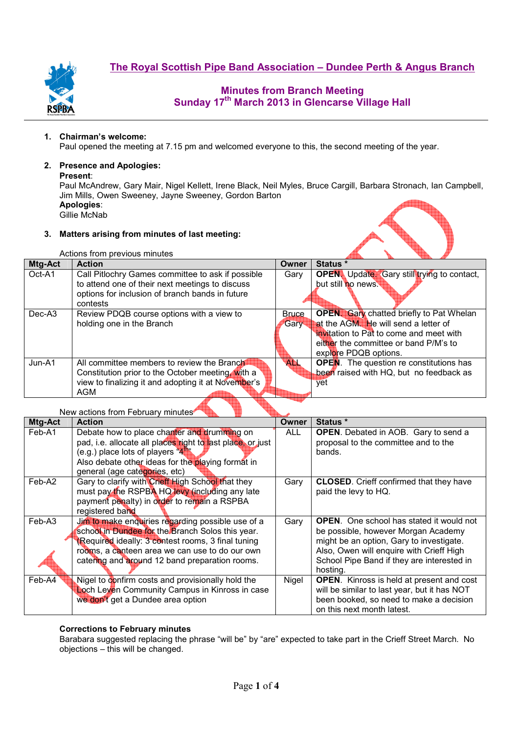

# **Minutes from Branch Meeting Sunday 17th March 2013 in Glencarse Village Hall**

#### **1. Chairman's welcome:**

Paul opened the meeting at 7.15 pm and welcomed everyone to this, the second meeting of the year.

## **2. Presence and Apologies:**

#### **Present**:

Paul McAndrew, Gary Mair, Nigel Kellett, Irene Black, Neil Myles, Bruce Cargill, Barbara Stronach, Ian Campbell, Jim Mills, Owen Sweeney, Jayne Sweeney, Gordon Barton **Apologies**: Gillie McNab

#### **3. Matters arising from minutes of last meeting:**

| Actions from previous minutes |                                                                                                                                                                     |                      |                                                                                                                                                                                                      |
|-------------------------------|---------------------------------------------------------------------------------------------------------------------------------------------------------------------|----------------------|------------------------------------------------------------------------------------------------------------------------------------------------------------------------------------------------------|
| Mtg-Act                       | <b>Action</b>                                                                                                                                                       | Owner                | Status *                                                                                                                                                                                             |
| Oct-A1                        | Call Pitlochry Games committee to ask if possible<br>to attend one of their next meetings to discuss<br>options for inclusion of branch bands in future<br>contests | Gary                 | <b>OPEN.</b> Update. Gary still trying to contact,<br>but still no news.                                                                                                                             |
| Dec-A <sub>3</sub>            | Review PDQB course options with a view to<br>holding one in the Branch                                                                                              | Bruce<br><b>Gary</b> | <b>OPEN.</b> Gary chatted briefly to Pat Whelan<br>at the AGM. He will send a letter of<br>invitation to Pat to come and meet with<br>either the committee or band P/M's to<br>explore PDQB options. |
| $Jun-A1$                      | All committee members to review the Branch<br>Constitution prior to the October meeting. With a<br>view to finalizing it and adopting it at November's<br>AGM       | <b>ALL</b>           | <b>OPEN</b> . The question re constitutions has<br>been raised with HQ, but no feedback as<br>vet                                                                                                    |

#### New actions from February minutes

| Mtg-Act | <b>Action</b>                                              | <b>Owner</b> | Status *                                         |  |
|---------|------------------------------------------------------------|--------------|--------------------------------------------------|--|
| Feb-A1  | Debate how to place chanter and drumming on                | <b>ALL</b>   | <b>OPEN.</b> Debated in AOB. Gary to send a      |  |
|         | pad, i.e. allocate all places right to last place, or just |              | proposal to the committee and to the             |  |
|         | (e.g.) place lots of players $4\frac{m}{4}$                |              | bands.                                           |  |
|         | Also debate other ideas for the playing format in          |              |                                                  |  |
|         | general (age categories, etc)                              |              |                                                  |  |
| Feb-A2  | Gary to clarify with Crieff High School that they          | Gary         | <b>CLOSED.</b> Crieff confirmed that they have   |  |
|         | must pay the RSPBA HQ levy (including any late             |              | paid the levy to HQ.                             |  |
|         | payment penalty) in order to remain a RSPBA                |              |                                                  |  |
|         | registered band                                            |              |                                                  |  |
| Feb-A3  | Jim to make enquiries regarding possible use of a          | Gary         | <b>OPEN.</b> One school has stated it would not  |  |
|         | school in Dundee for the Branch Solos this year.           |              | be possible, however Morgan Academy              |  |
|         | (Required ideally: 3 contest rooms, 3 final tuning         |              | might be an option, Gary to investigate.         |  |
|         | rooms, a canteen area we can use to do our own             |              | Also, Owen will enquire with Crieff High         |  |
|         | catering and around 12 band preparation rooms.             |              | School Pipe Band if they are interested in       |  |
|         |                                                            |              | hosting.                                         |  |
| Feb-A4  | Nigel to confirm costs and provisionally hold the          | Nigel        | <b>OPEN.</b> Kinross is held at present and cost |  |
|         | Loch Leven Community Campus in Kinross in case             |              | will be similar to last year, but it has NOT     |  |
|         | we don't get a Dundee area option                          |              | been booked, so need to make a decision          |  |
|         |                                                            |              | on this next month latest.                       |  |

#### **Corrections to February minutes**

Barabara suggested replacing the phrase "will be" by "are" expected to take part in the Crieff Street March. No objections – this will be changed.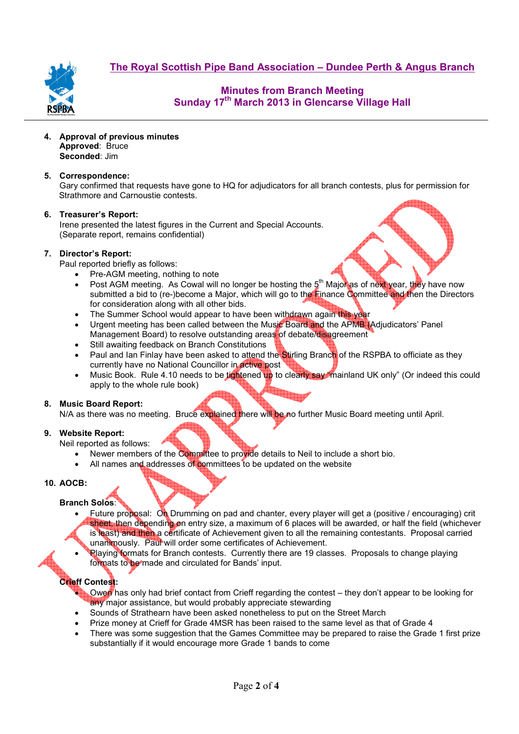**The Royal Scottish Pipe Band Association – Dundee Perth & Angus Branch**



# **Minutes from Branch Meeting Sunday 17th March 2013 in Glencarse Village Hall**

**4. Approval of previous minutes Approved**: Bruce **Seconded**: Jim

#### **5. Correspondence:**

Gary confirmed that requests have gone to HQ for adjudicators for all branch contests, plus for permission for Strathmore and Carnoustie contests.

#### **6. Treasurer's Report:**

Irene presented the latest figures in the Current and Special Accounts. (Separate report, remains confidential)

#### **7. Director's Report:**

Paul reported briefly as follows:

- Pre-AGM meeting, nothing to note
- Post AGM meeting. As Cowal will no longer be hosting the  $5<sup>th</sup>$  Major as of next year, they have now submitted a bid to (re-)become a Major, which will go to the Finance Committee and then the Directors for consideration along with all other bids.
- The Summer School would appear to have been withdrawn again this year
- Urgent meeting has been called between the Music Board and the APMB (Adjudicators' Panel Management Board) to resolve outstanding areas of debate/disagreement
- Still awaiting feedback on Branch Constitutions
- Paul and Ian Finlay have been asked to attend the Stirling Branch of the RSPBA to officiate as they currently have no National Councillor in active post
- Music Book. Rule 4.10 needs to be tightened up to clearly say "mainland UK only" (Or indeed this could apply to the whole rule book)

## **8. Music Board Report:**

N/A as there was no meeting. Bruce explained there will be no further Music Board meeting until April.

## **9. Website Report:**

Neil reported as follows:

- Newer members of the Committee to provide details to Neil to include a short bio.
- All names and addresses of committees to be updated on the website

## **10. AOCB:**

## **Branch Solos**:

- Future proposal: On Drumming on pad and chanter, every player will get a (positive / encouraging) crit sheet, then depending on entry size, a maximum of 6 places will be awarded, or half the field (whichever is least) and then a certificate of Achievement given to all the remaining contestants. Proposal carried unanimously. Paul will order some certificates of Achievement.
- Playing formats for Branch contests. Currently there are 19 classes. Proposals to change playing formats to be made and circulated for Bands' input.

## **Crieff Contest:**

- Owen has only had brief contact from Crieff regarding the contest they don't appear to be looking for any major assistance, but would probably appreciate stewarding
- Sounds of Strathearn have been asked nonetheless to put on the Street March
- Prize money at Crieff for Grade 4MSR has been raised to the same level as that of Grade 4
- There was some suggestion that the Games Committee may be prepared to raise the Grade 1 first prize substantially if it would encourage more Grade 1 bands to come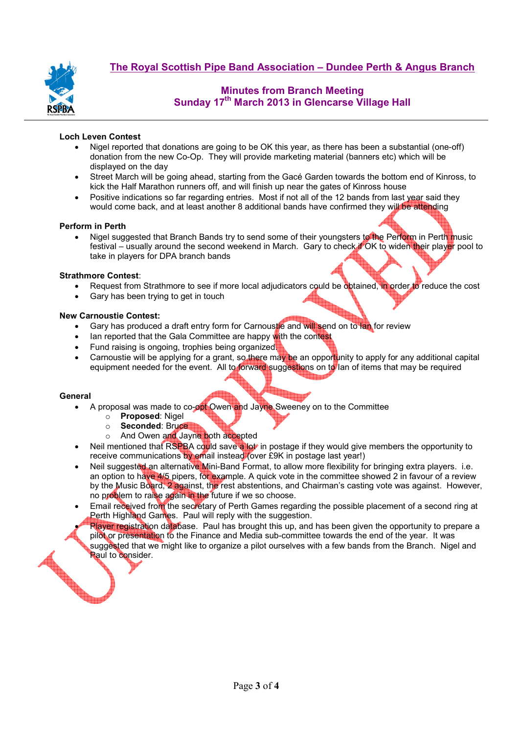

# **Minutes from Branch Meeting Sunday 17th March 2013 in Glencarse Village Hall**

## **Loch Leven Contest**

- Nigel reported that donations are going to be OK this year, as there has been a substantial (one-off) donation from the new Co-Op. They will provide marketing material (banners etc) which will be displayed on the day
- Street March will be going ahead, starting from the Gacé Garden towards the bottom end of Kinross, to kick the Half Marathon runners off, and will finish up near the gates of Kinross house
- Positive indications so far regarding entries. Most if not all of the 12 bands from last year said they would come back, and at least another 8 additional bands have confirmed they will be attending

## **Perform in Perth**

Nigel suggested that Branch Bands try to send some of their youngsters to the Perform in Perth music festival – usually around the second weekend in March. Gary to check if OK to widen their player pool to take in players for DPA branch bands

## **Strathmore Contest**:

- Request from Strathmore to see if more local adjudicators could be obtained. In order to reduce the cost
- Gary has been trying to get in touch

## **New Carnoustie Contest:**

- Gary has produced a draft entry form for Carnoustie and will send on to lan for review
- Ian reported that the Gala Committee are happy with the contest
- Fund raising is ongoing, trophies being organized.
- Carnoustie will be applying for a grant, so there may be an opportunity to apply for any additional capital equipment needed for the event. All to forward suggestions on to Ian of items that may be required

## **General**

- A proposal was made to co-opt Owen and Jayne Sweeney on to the Committee
	- o **Proposed**: Nigel
	- o **Seconded**: Bruce
	- o And Owen and Jayne both accepted
- Neil mentioned that RSPBA could save a lot in postage if they would give members the opportunity to receive communications by email instead (over £9K in postage last year!)
- Neil suggested an alternative Mini-Band Format, to allow more flexibility for bringing extra players. i.e. an option to have 4/5 pipers, for example. A quick vote in the committee showed 2 in favour of a review by the Music Board, 2 against, the rest abstentions, and Chairman's casting vote was against. However, no problem to raise again in the future if we so choose.
- Email received from the secretary of Perth Games regarding the possible placement of a second ring at Perth Highland Games. Paul will reply with the suggestion.
- Player registration database. Paul has brought this up, and has been given the opportunity to prepare a pilot or presentation to the Finance and Media sub-committee towards the end of the year. It was suggested that we might like to organize a pilot ourselves with a few bands from the Branch. Nigel and Paul to consider.